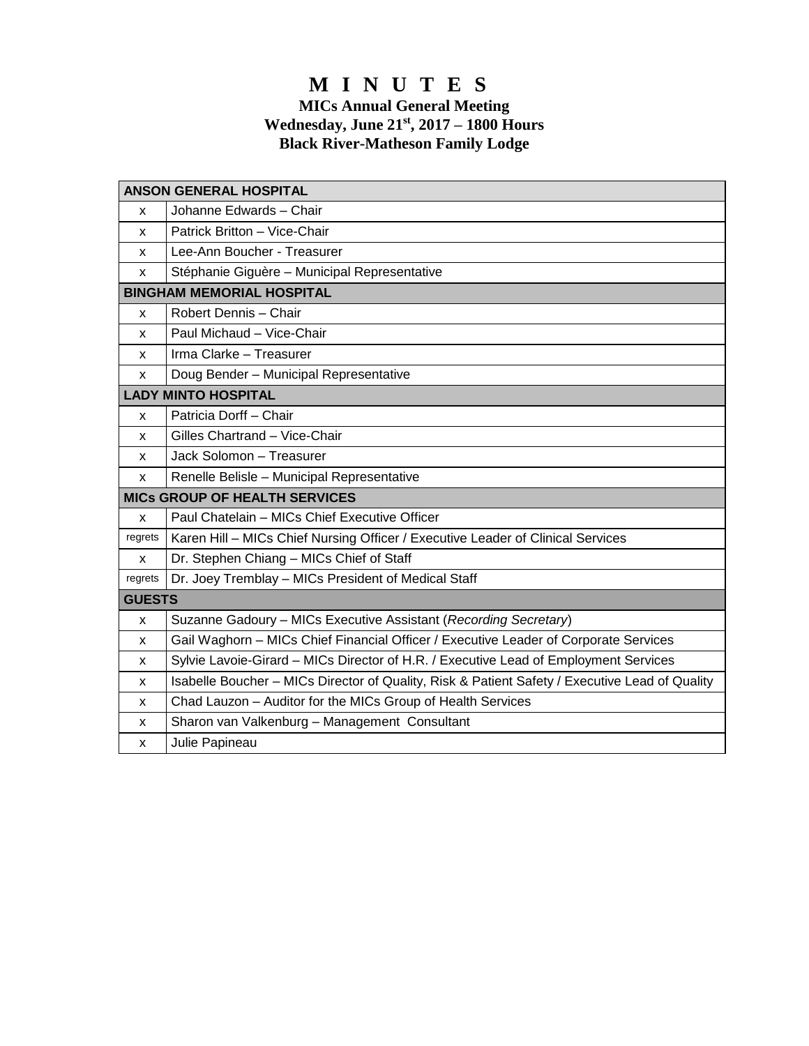# **M I N U T E S**

## **MICs Annual General Meeting Wednesday, June 21 st, 2017 – 1800 Hours Black River-Matheson Family Lodge**

| <b>ANSON GENERAL HOSPITAL</b>        |                                                                                                |
|--------------------------------------|------------------------------------------------------------------------------------------------|
| x                                    | Johanne Edwards - Chair                                                                        |
| x                                    | Patrick Britton - Vice-Chair                                                                   |
| x                                    | Lee-Ann Boucher - Treasurer                                                                    |
| x                                    | Stéphanie Giguère - Municipal Representative                                                   |
| <b>BINGHAM MEMORIAL HOSPITAL</b>     |                                                                                                |
| X                                    | Robert Dennis - Chair                                                                          |
| x                                    | Paul Michaud - Vice-Chair                                                                      |
| x                                    | Irma Clarke - Treasurer                                                                        |
| X                                    | Doug Bender - Municipal Representative                                                         |
| <b>LADY MINTO HOSPITAL</b>           |                                                                                                |
| X                                    | Patricia Dorff - Chair                                                                         |
| x                                    | Gilles Chartrand - Vice-Chair                                                                  |
| X                                    | Jack Solomon - Treasurer                                                                       |
| x                                    | Renelle Belisle - Municipal Representative                                                     |
| <b>MICS GROUP OF HEALTH SERVICES</b> |                                                                                                |
| X                                    | Paul Chatelain - MICs Chief Executive Officer                                                  |
| regrets                              | Karen Hill - MICs Chief Nursing Officer / Executive Leader of Clinical Services                |
| X                                    | Dr. Stephen Chiang - MICs Chief of Staff                                                       |
| regrets                              | Dr. Joey Tremblay - MICs President of Medical Staff                                            |
| <b>GUESTS</b>                        |                                                                                                |
| X                                    | Suzanne Gadoury - MICs Executive Assistant (Recording Secretary)                               |
| x                                    | Gail Waghorn - MICs Chief Financial Officer / Executive Leader of Corporate Services           |
| x                                    | Sylvie Lavoie-Girard - MICs Director of H.R. / Executive Lead of Employment Services           |
| x                                    | Isabelle Boucher - MICs Director of Quality, Risk & Patient Safety / Executive Lead of Quality |
| х                                    | Chad Lauzon - Auditor for the MICs Group of Health Services                                    |
| x                                    | Sharon van Valkenburg - Management Consultant                                                  |
| x                                    | Julie Papineau                                                                                 |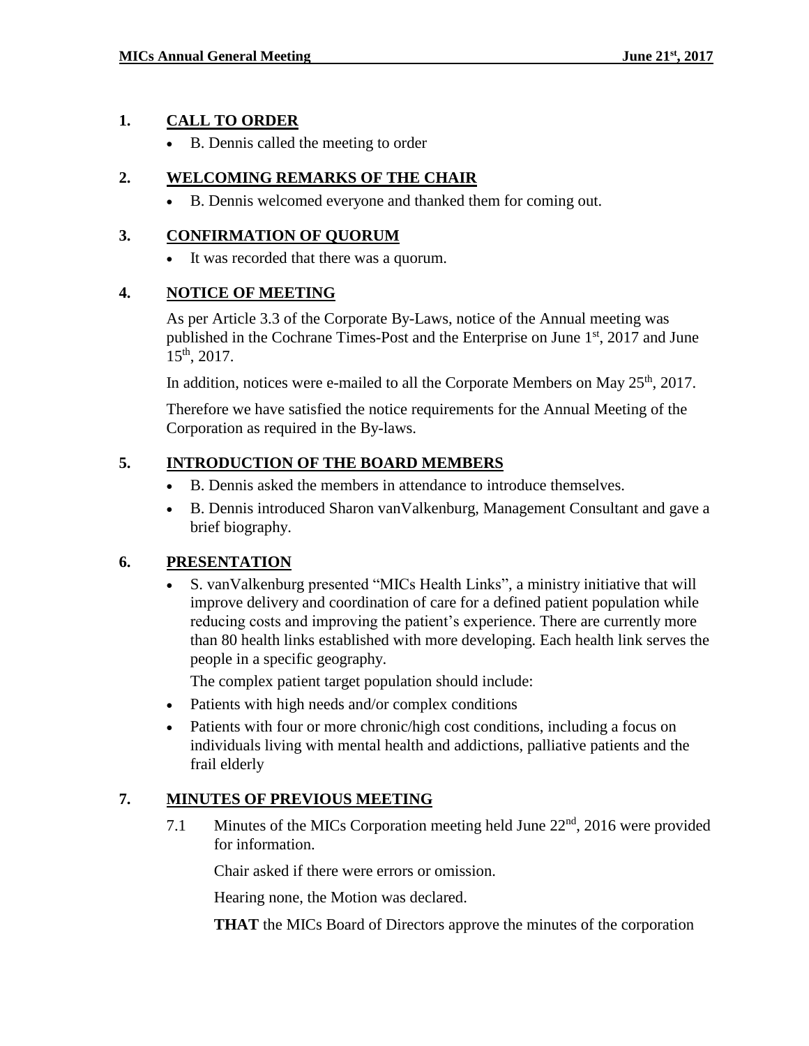## **1. CALL TO ORDER**

B. Dennis called the meeting to order

# **2. WELCOMING REMARKS OF THE CHAIR**

B. Dennis welcomed everyone and thanked them for coming out.

## **3. CONFIRMATION OF QUORUM**

It was recorded that there was a quorum.

## **4. NOTICE OF MEETING**

As per Article 3.3 of the Corporate By-Laws, notice of the Annual meeting was published in the Cochrane Times-Post and the Enterprise on June 1<sup>st</sup>, 2017 and June 15 th, 2017.

In addition, notices were e-mailed to all the Corporate Members on May  $25<sup>th</sup>$ , 2017.

Therefore we have satisfied the notice requirements for the Annual Meeting of the Corporation as required in the By-laws.

# **5. INTRODUCTION OF THE BOARD MEMBERS**

- B. Dennis asked the members in attendance to introduce themselves.
- B. Dennis introduced Sharon vanValkenburg, Management Consultant and gave a brief biography.

## **6. PRESENTATION**

 S. vanValkenburg presented "MICs Health Links", a ministry initiative that will improve delivery and coordination of care for a defined patient population while reducing costs and improving the patient's experience. There are currently more than 80 health links established with more developing. Each health link serves the people in a specific geography.

The complex patient target population should include:

- Patients with high needs and/or complex conditions
- Patients with four or more chronic/high cost conditions, including a focus on individuals living with mental health and addictions, palliative patients and the frail elderly

# **7. MINUTES OF PREVIOUS MEETING**

7.1 Minutes of the MICs Corporation meeting held June 22<sup>nd</sup>, 2016 were provided for information.

Chair asked if there were errors or omission.

Hearing none, the Motion was declared.

**THAT** the MICs Board of Directors approve the minutes of the corporation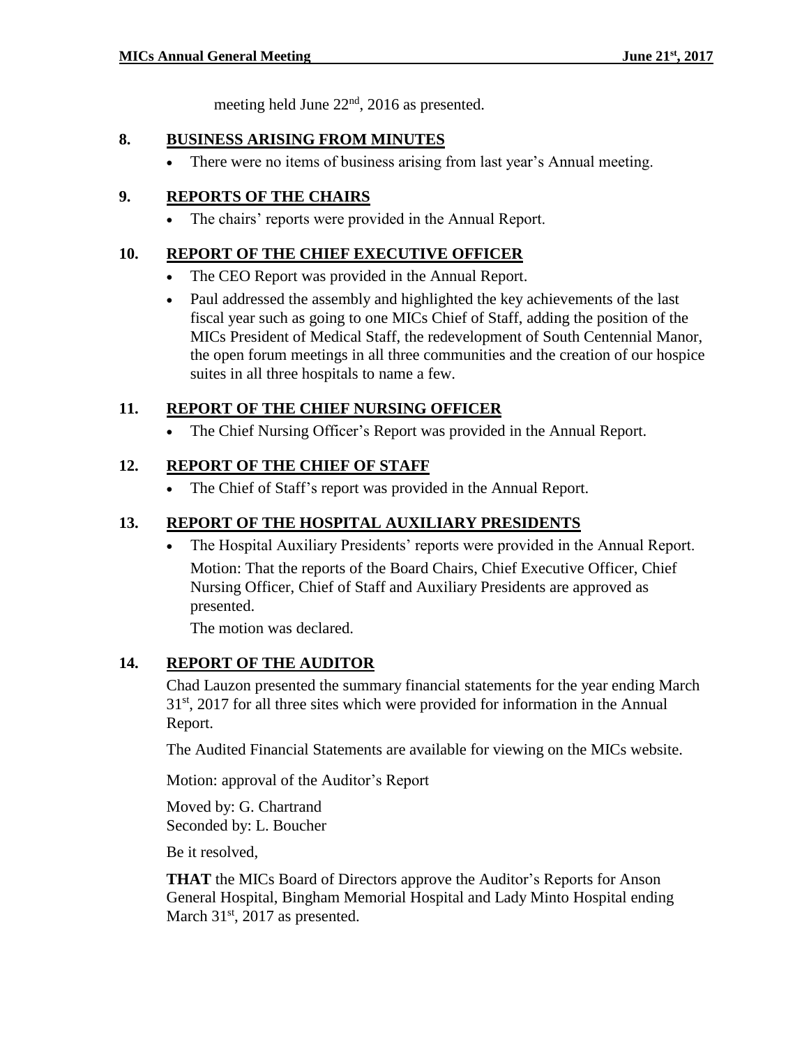meeting held June 22<sup>nd</sup>, 2016 as presented.

#### **8. BUSINESS ARISING FROM MINUTES**

• There were no items of business arising from last year's Annual meeting.

## **9. REPORTS OF THE CHAIRS**

The chairs' reports were provided in the Annual Report.

## **10. REPORT OF THE CHIEF EXECUTIVE OFFICER**

- The CEO Report was provided in the Annual Report.
- Paul addressed the assembly and highlighted the key achievements of the last fiscal year such as going to one MICs Chief of Staff, adding the position of the MICs President of Medical Staff, the redevelopment of South Centennial Manor, the open forum meetings in all three communities and the creation of our hospice suites in all three hospitals to name a few.

#### **11. REPORT OF THE CHIEF NURSING OFFICER**

The Chief Nursing Officer's Report was provided in the Annual Report.

#### **12. REPORT OF THE CHIEF OF STAFF**

The Chief of Staff's report was provided in the Annual Report.

## **13. REPORT OF THE HOSPITAL AUXILIARY PRESIDENTS**

 The Hospital Auxiliary Presidents' reports were provided in the Annual Report. Motion: That the reports of the Board Chairs, Chief Executive Officer, Chief Nursing Officer, Chief of Staff and Auxiliary Presidents are approved as presented.

The motion was declared.

## **14. REPORT OF THE AUDITOR**

Chad Lauzon presented the summary financial statements for the year ending March  $31<sup>st</sup>$ , 2017 for all three sites which were provided for information in the Annual Report.

The Audited Financial Statements are available for viewing on the MICs website.

Motion: approval of the Auditor's Report

Moved by: G. Chartrand Seconded by: L. Boucher

Be it resolved,

**THAT** the MICs Board of Directors approve the Auditor's Reports for Anson General Hospital, Bingham Memorial Hospital and Lady Minto Hospital ending March  $31<sup>st</sup>$ , 2017 as presented.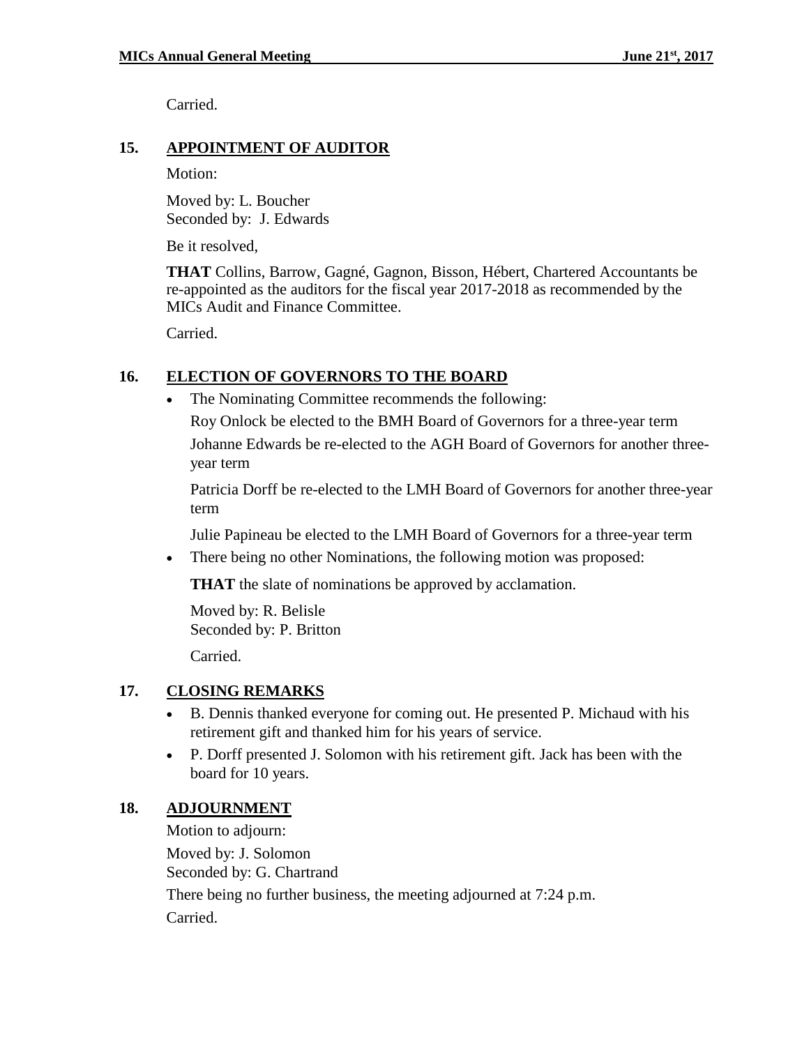Carried.

#### **15. APPOINTMENT OF AUDITOR**

Motion:

Moved by: L. Boucher Seconded by: J. Edwards

Be it resolved,

**THAT** Collins, Barrow, Gagné, Gagnon, Bisson, Hébert, Chartered Accountants be re-appointed as the auditors for the fiscal year 2017-2018 as recommended by the MICs Audit and Finance Committee.

Carried.

#### **16. ELECTION OF GOVERNORS TO THE BOARD**

• The Nominating Committee recommends the following:

Roy Onlock be elected to the BMH Board of Governors for a three-year term Johanne Edwards be re-elected to the AGH Board of Governors for another threeyear term

Patricia Dorff be re-elected to the LMH Board of Governors for another three-year term

Julie Papineau be elected to the LMH Board of Governors for a three-year term

• There being no other Nominations, the following motion was proposed:

**THAT** the slate of nominations be approved by acclamation.

Moved by: R. Belisle Seconded by: P. Britton Carried.

## **17. CLOSING REMARKS**

- B. Dennis thanked everyone for coming out. He presented P. Michaud with his retirement gift and thanked him for his years of service.
- P. Dorff presented J. Solomon with his retirement gift. Jack has been with the board for 10 years.

#### **18. ADJOURNMENT**

Motion to adjourn: Moved by: J. Solomon Seconded by: G. Chartrand There being no further business, the meeting adjourned at 7:24 p.m. Carried.